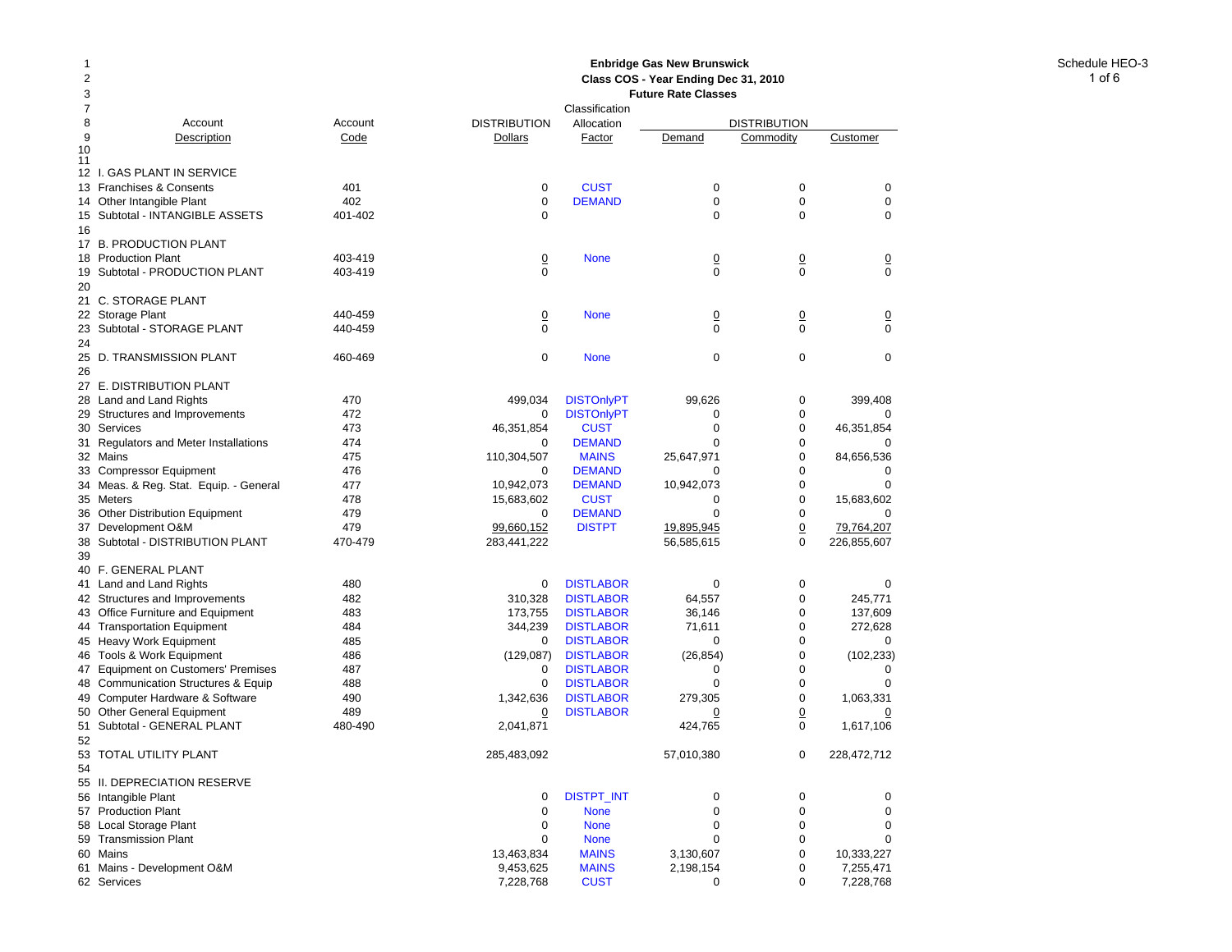### Schedule HEO-3 **Enbridge Gas New Brunswick Class COS - Year Ending Dec 31, 2010 Future Rate Classes** Classification

| 7  |                                        |         |                     | Classification    |             |                     |                |
|----|----------------------------------------|---------|---------------------|-------------------|-------------|---------------------|----------------|
| 8  | Account                                | Account | <b>DISTRIBUTION</b> | Allocation        |             | <b>DISTRIBUTION</b> |                |
| 9  | Description                            | Code    | Dollars             | Factor            | Demand      | Commodity           | Customer       |
| 10 |                                        |         |                     |                   |             |                     |                |
| 11 |                                        |         |                     |                   |             |                     |                |
|    | 12 I. GAS PLANT IN SERVICE             |         |                     |                   |             |                     |                |
|    | 13 Franchises & Consents               | 401     | $\mathbf 0$         | <b>CUST</b>       | 0           | 0                   | $\mathbf 0$    |
|    | 14 Other Intangible Plant              | 402     | 0                   | <b>DEMAND</b>     | 0           | $\mathbf 0$         | $\mathbf 0$    |
|    | 15 Subtotal - INTANGIBLE ASSETS        | 401-402 | 0                   |                   | $\Omega$    | 0                   | 0              |
| 16 |                                        |         |                     |                   |             |                     |                |
|    | 17 B. PRODUCTION PLANT                 |         |                     |                   |             |                     |                |
|    | 18 Production Plant                    | 403-419 | $\overline{0}$      | <b>None</b>       | 0           | $\overline{0}$      | $\overline{0}$ |
|    | 19 Subtotal - PRODUCTION PLANT         | 403-419 | $\mathbf 0$         |                   | $\mathbf 0$ | $\mathbf 0$         | $\overline{0}$ |
| 20 |                                        |         |                     |                   |             |                     |                |
|    | 21 C. STORAGE PLANT                    |         |                     |                   |             |                     |                |
|    |                                        |         |                     |                   |             |                     |                |
|    | 22 Storage Plant                       | 440-459 | <u>0</u>            | <b>None</b>       | <u>0</u>    | $\overline{0}$      | $\overline{0}$ |
|    | 23 Subtotal - STORAGE PLANT            | 440-459 | $\Omega$            |                   | 0           | $\Omega$            | $\Omega$       |
| 24 |                                        |         |                     |                   |             |                     |                |
|    | 25 D. TRANSMISSION PLANT               | 460-469 | 0                   | <b>None</b>       | 0           | 0                   | 0              |
| 26 |                                        |         |                     |                   |             |                     |                |
|    | 27 E. DISTRIBUTION PLANT               |         |                     |                   |             |                     |                |
|    | 28 Land and Land Rights                | 470     | 499,034             | <b>DISTOnlyPT</b> | 99,626      | 0                   | 399,408        |
|    | 29 Structures and Improvements         | 472     | 0                   | <b>DISTOnlyPT</b> | 0           | $\mathbf 0$         |                |
|    | 30 Services                            | 473     | 46,351,854          | <b>CUST</b>       | $\mathbf 0$ | 0                   | 46,351,854     |
|    | 31 Regulators and Meter Installations  | 474     | $\mathbf 0$         | <b>DEMAND</b>     | $\mathbf 0$ | 0                   | $\mathbf 0$    |
|    | 32 Mains                               | 475     | 110,304,507         | <b>MAINS</b>      | 25,647,971  | $\mathbf 0$         | 84,656,536     |
|    | 33 Compressor Equipment                | 476     | 0                   | <b>DEMAND</b>     | 0           | $\mathbf 0$         | 0              |
|    |                                        |         |                     |                   |             | $\pmb{0}$           | $\mathbf 0$    |
|    | 34 Meas. & Reg. Stat. Equip. - General | 477     | 10,942,073          | <b>DEMAND</b>     | 10,942,073  |                     |                |
|    | 35 Meters                              | 478     | 15,683,602          | <b>CUST</b>       | 0           | 0                   | 15,683,602     |
|    | 36 Other Distribution Equipment        | 479     | 0                   | <b>DEMAND</b>     | $\mathbf 0$ | $\mathbf 0$         |                |
|    | 37 Development O&M                     | 479     | 99,660,152          | <b>DISTPT</b>     | 19,895,945  | $\overline{0}$      | 79,764,207     |
|    | 38 Subtotal - DISTRIBUTION PLANT       | 470-479 | 283,441,222         |                   | 56,585,615  | $\pmb{0}$           | 226,855,607    |
| 39 |                                        |         |                     |                   |             |                     |                |
|    | 40 F. GENERAL PLANT                    |         |                     |                   |             |                     |                |
|    | 41 Land and Land Rights                | 480     | 0                   | <b>DISTLABOR</b>  | 0           | 0                   | 0              |
|    | 42 Structures and Improvements         | 482     | 310,328             | <b>DISTLABOR</b>  | 64,557      | 0                   | 245,771        |
|    | 43 Office Furniture and Equipment      | 483     | 173,755             | <b>DISTLABOR</b>  | 36,146      | $\mathbf 0$         | 137,609        |
|    | 44 Transportation Equipment            | 484     | 344,239             | <b>DISTLABOR</b>  | 71,611      | $\mathbf 0$         | 272,628        |
|    | 45 Heavy Work Equipment                | 485     | 0                   | <b>DISTLABOR</b>  | 0           | 0                   | 0              |
|    | 46 Tools & Work Equipment              | 486     | (129,087)           | <b>DISTLABOR</b>  | (26, 854)   | $\mathbf 0$         | (102, 233)     |
|    | 47 Equipment on Customers' Premises    | 487     | 0                   | <b>DISTLABOR</b>  | 0           | $\mathbf 0$         | 0              |
|    |                                        |         |                     |                   | $\mathbf 0$ | $\pmb{0}$           | $\mathbf 0$    |
|    | 48 Communication Structures & Equip    | 488     | $\mathbf 0$         | <b>DISTLABOR</b>  |             |                     |                |
|    | 49 Computer Hardware & Software        | 490     | 1,342,636           | <b>DISTLABOR</b>  | 279,305     | $\mathbf 0$         | 1,063,331      |
|    | 50 Other General Equipment             | 489     | 0                   | <b>DISTLABOR</b>  | 0           | $\overline{0}$      | 0              |
|    | 51 Subtotal - GENERAL PLANT            | 480-490 | 2,041,871           |                   | 424,765     | $\pmb{0}$           | 1,617,106      |
| 52 |                                        |         |                     |                   |             |                     |                |
| 53 | TOTAL UTILITY PLANT                    |         | 285,483,092         |                   | 57,010,380  | $\pmb{0}$           | 228,472,712    |
| 54 |                                        |         |                     |                   |             |                     |                |
|    | 55 II. DEPRECIATION RESERVE            |         |                     |                   |             |                     |                |
|    | 56 Intangible Plant                    |         | 0                   | DISTPT_INT        | $\mathbf 0$ | $\mathbf 0$         | 0              |
|    | 57 Production Plant                    |         | $\mathbf 0$         | <b>None</b>       | $\Omega$    | 0                   | $\mathbf 0$    |
|    | 58 Local Storage Plant                 |         | 0                   | <b>None</b>       | $\mathbf 0$ | $\mathbf 0$         | $\mathbf 0$    |
|    | 59 Transmission Plant                  |         | $\Omega$            | <b>None</b>       | $\Omega$    | $\mathbf 0$         | $\Omega$       |
|    | 60 Mains                               |         | 13,463,834          | <b>MAINS</b>      | 3,130,607   | 0                   | 10,333,227     |
|    |                                        |         | 9,453,625           | <b>MAINS</b>      | 2,198,154   | $\mathbf 0$         | 7,255,471      |
|    | 61 Mains - Development O&M             |         |                     |                   |             |                     |                |
|    | 62 Services                            |         | 7,228,768           | <b>CUST</b>       | 0           | $\Omega$            | 7,228,768      |

1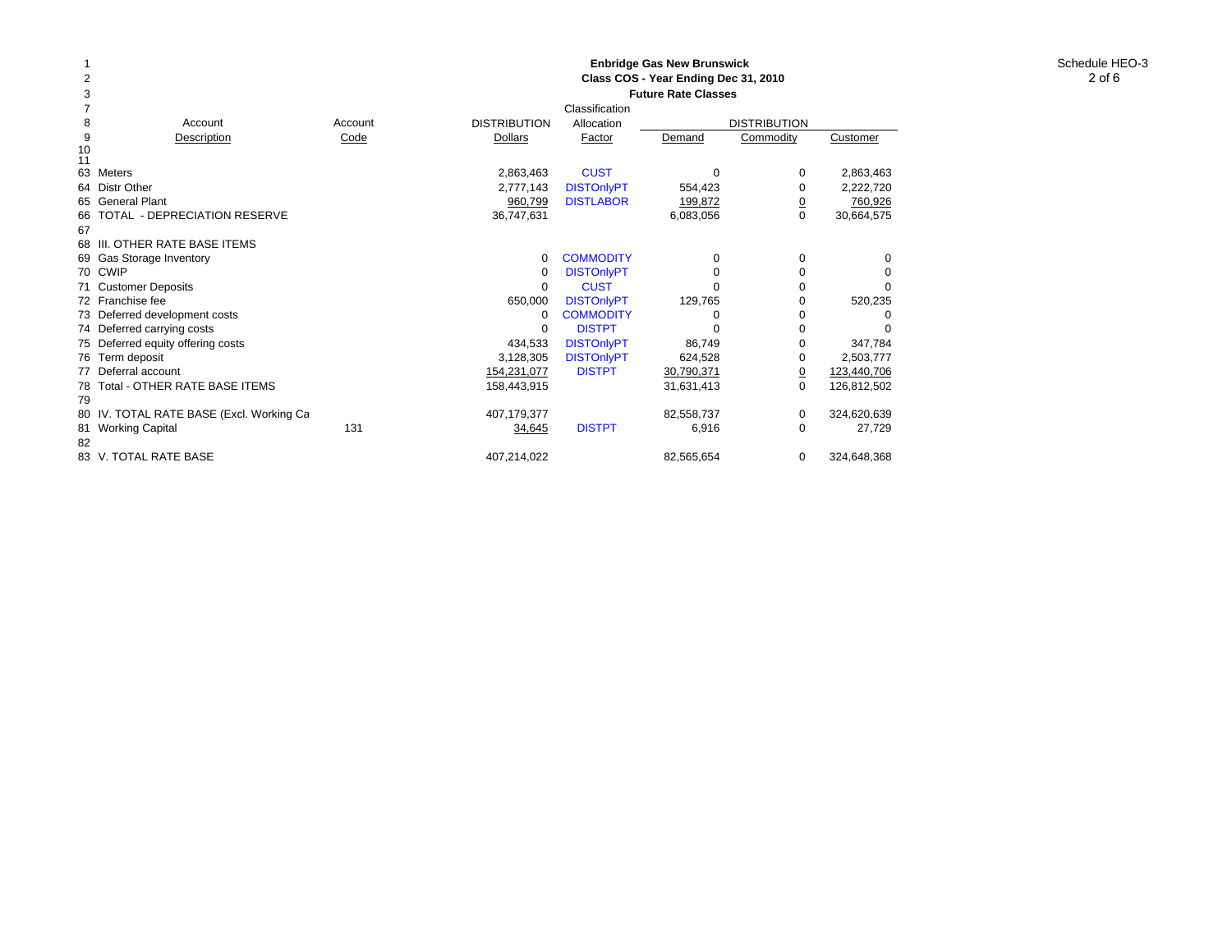#### Schedule HEO-3 **Enbridge Gas New Brunswick Class COS - Year Ending Dec 31, 2010 Future Rate Classes**

| 3        | <b>Future Rate Classes</b>               |         |                     |                   |            |                     |             |  |
|----------|------------------------------------------|---------|---------------------|-------------------|------------|---------------------|-------------|--|
|          |                                          |         |                     | Classification    |            |                     |             |  |
| 8        | Account                                  | Account | <b>DISTRIBUTION</b> | Allocation        |            | <b>DISTRIBUTION</b> |             |  |
| 9        | Description                              | Code    | <b>Dollars</b>      | Factor            | Demand     | Commodity           | Customer    |  |
| 10<br>11 |                                          |         |                     |                   |            |                     |             |  |
|          | 63 Meters                                |         | 2,863,463           | <b>CUST</b>       | $\Omega$   | 0                   | 2,863,463   |  |
|          | 64 Distr Other                           |         | 2,777,143           | <b>DISTOnlyPT</b> | 554,423    | 0                   | 2,222,720   |  |
|          | 65 General Plant                         |         | 960,799             | <b>DISTLABOR</b>  | 199,872    | <u>0</u>            | 760,926     |  |
| 66       | TOTAL - DEPRECIATION RESERVE             |         | 36,747,631          |                   | 6,083,056  | 0                   | 30,664,575  |  |
| 67       |                                          |         |                     |                   |            |                     |             |  |
|          | 68 III. OTHER RATE BASE ITEMS            |         |                     |                   |            |                     |             |  |
|          | 69 Gas Storage Inventory                 |         | $\Omega$            | <b>COMMODITY</b>  | $\Omega$   | 0                   | 0           |  |
|          | 70 CWIP                                  |         | 0                   | <b>DISTOnlyPT</b> | $\Omega$   | 0                   |             |  |
|          | 71 Customer Deposits                     |         | 0                   | <b>CUST</b>       | $\Omega$   | 0                   |             |  |
|          | 72 Franchise fee                         |         | 650,000             | <b>DISTOnlyPT</b> | 129,765    | 0                   | 520,235     |  |
|          | 73 Deferred development costs            |         | 0                   | <b>COMMODITY</b>  | $\Omega$   | 0                   |             |  |
|          | 74 Deferred carrying costs               |         | $\Omega$            | <b>DISTPT</b>     | $\Omega$   | 0                   |             |  |
|          | 75 Deferred equity offering costs        |         | 434,533             | <b>DISTOnlyPT</b> | 86,749     | 0                   | 347,784     |  |
|          | 76 Term deposit                          |         | 3,128,305           | <b>DISTOnlyPT</b> | 624,528    | 0                   | 2,503,777   |  |
|          | 77 Deferral account                      |         | 154,231,077         | <b>DISTPT</b>     | 30,790,371 | $\overline{0}$      | 123,440,706 |  |
|          | 78 Total - OTHER RATE BASE ITEMS         |         | 158,443,915         |                   | 31,631,413 | 0                   | 126,812,502 |  |
| 79       |                                          |         |                     |                   |            |                     |             |  |
|          | 80 IV. TOTAL RATE BASE (Excl. Working Ca |         | 407,179,377         |                   | 82,558,737 | 0                   | 324,620,639 |  |
|          | 81 Working Capital                       | 131     | 34,645              | <b>DISTPT</b>     | 6,916      | 0                   | 27,729      |  |
| 82       |                                          |         |                     |                   |            |                     |             |  |
|          | 83 V. TOTAL RATE BASE                    |         | 407,214,022         |                   | 82,565,654 | 0                   | 324,648,368 |  |
|          |                                          |         |                     |                   |            |                     |             |  |

1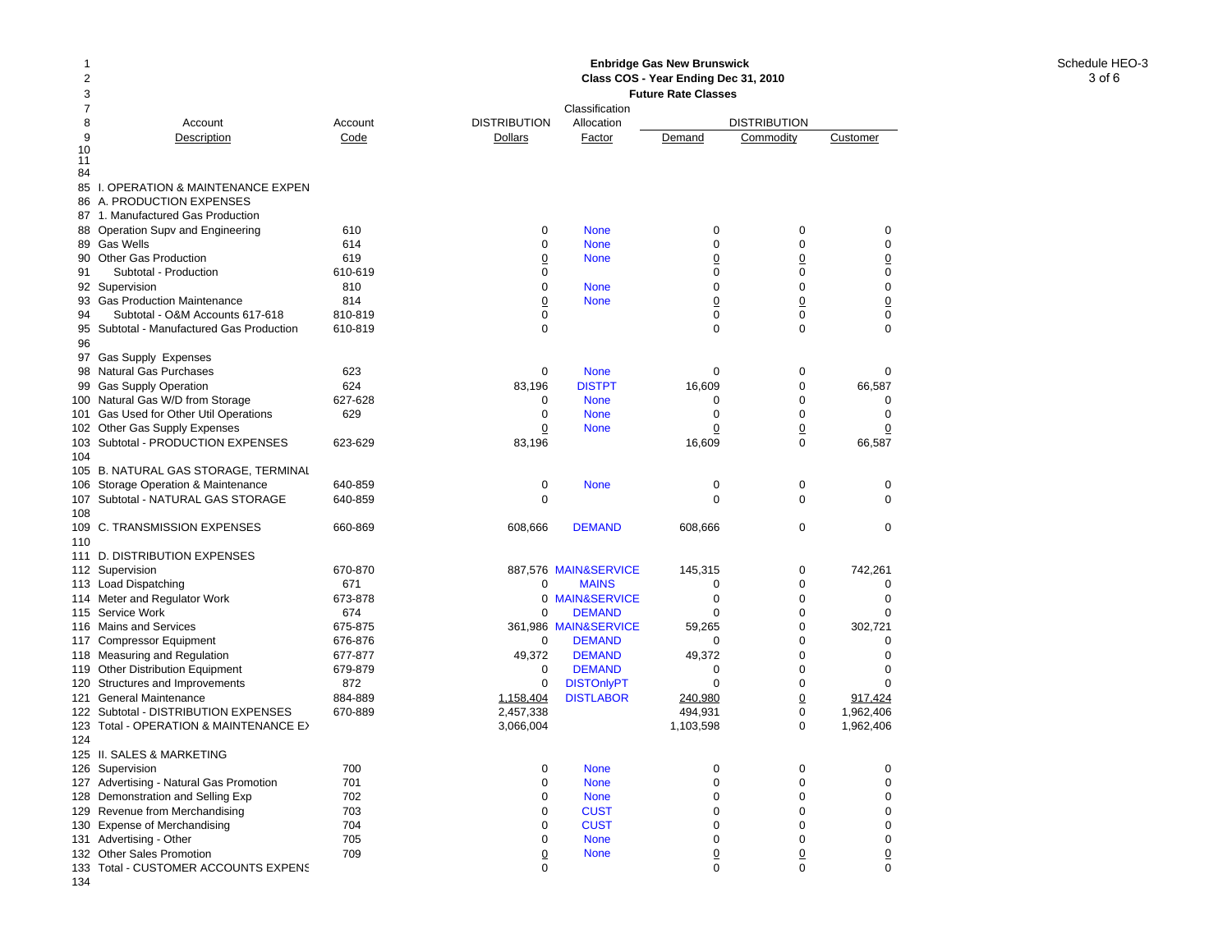## Schedule HEO-3 **Enbridge Gas New Brunswick Class COS - Year Ending Dec 31, 2010**

| 2<br>3 |                                                                     |            | Class COS - Year Ending Dec 31, 2010<br><b>Future Rate Classes</b> |                              |                         |                            |                            |  |  |
|--------|---------------------------------------------------------------------|------------|--------------------------------------------------------------------|------------------------------|-------------------------|----------------------------|----------------------------|--|--|
| 7<br>8 | Account                                                             | Account    | <b>DISTRIBUTION</b>                                                | Classification<br>Allocation |                         | <b>DISTRIBUTION</b>        |                            |  |  |
| 9      | Description                                                         | Code       | Dollars                                                            | Factor                       | Demand                  | Commodity                  | Customer                   |  |  |
| 10     |                                                                     |            |                                                                    |                              |                         |                            |                            |  |  |
| 11     |                                                                     |            |                                                                    |                              |                         |                            |                            |  |  |
| 84     | 85 I. OPERATION & MAINTENANCE EXPEN                                 |            |                                                                    |                              |                         |                            |                            |  |  |
|        | 86 A. PRODUCTION EXPENSES                                           |            |                                                                    |                              |                         |                            |                            |  |  |
|        | 87 1. Manufactured Gas Production                                   |            |                                                                    |                              |                         |                            |                            |  |  |
|        | 88 Operation Supv and Engineering                                   | 610        | 0                                                                  | <b>None</b>                  | 0                       | 0                          | $\mathbf 0$                |  |  |
|        | 89 Gas Wells                                                        | 614        | $\Omega$                                                           | <b>None</b>                  | $\Omega$                | $\Omega$                   | $\mathbf 0$                |  |  |
|        | 90 Other Gas Production                                             | 619        | $\overline{0}$                                                     | <b>None</b>                  | 0                       | 0                          | $\Omega$                   |  |  |
| 91     | Subtotal - Production                                               | 610-619    | 0                                                                  |                              | $\mathbf 0$             | $\mathbf 0$                | $\mathbf 0$                |  |  |
|        | 92 Supervision                                                      | 810        | 0                                                                  | <b>None</b>                  | 0                       | 0                          | 0                          |  |  |
|        | 93 Gas Production Maintenance                                       | 814        | $\overline{0}$                                                     | <b>None</b>                  | $\overline{0}$          | $\overline{0}$             | $\overline{0}$             |  |  |
| 94     | Subtotal - O&M Accounts 617-618                                     | 810-819    | 0                                                                  |                              | 0                       | $\mathbf 0$                | 0                          |  |  |
|        | 95 Subtotal - Manufactured Gas Production                           | 610-819    | $\Omega$                                                           |                              | $\mathbf 0$             | $\mathbf 0$                | 0                          |  |  |
| 96     |                                                                     |            |                                                                    |                              |                         |                            |                            |  |  |
|        | 97 Gas Supply Expenses                                              |            |                                                                    |                              |                         |                            |                            |  |  |
|        | 98 Natural Gas Purchases                                            | 623        | 0                                                                  | <b>None</b>                  | 0                       | 0                          | $\Omega$                   |  |  |
|        | 99 Gas Supply Operation                                             | 624        | 83,196                                                             | <b>DISTPT</b>                | 16,609                  | 0                          | 66,587                     |  |  |
|        | 100 Natural Gas W/D from Storage                                    | 627-628    | 0                                                                  | <b>None</b>                  | 0                       | 0                          | 0                          |  |  |
|        | 101 Gas Used for Other Util Operations                              | 629        | 0                                                                  | <b>None</b>                  | 0                       | $\Omega$                   | 0                          |  |  |
|        | 102 Other Gas Supply Expenses                                       | 623-629    | $\mathbf 0$                                                        | <b>None</b>                  | $\overline{0}$          | $\overline{0}$<br>$\Omega$ | $\overline{0}$             |  |  |
|        | 103 Subtotal - PRODUCTION EXPENSES                                  |            | 83,196                                                             |                              | 16,609                  |                            | 66,587                     |  |  |
| 104    | 105 B. NATURAL GAS STORAGE, TERMINAL                                |            |                                                                    |                              |                         |                            |                            |  |  |
|        | 106 Storage Operation & Maintenance                                 | 640-859    | 0                                                                  | <b>None</b>                  | 0                       | 0                          | 0                          |  |  |
|        | 107 Subtotal - NATURAL GAS STORAGE                                  | 640-859    | $\Omega$                                                           |                              | $\Omega$                | $\Omega$                   | $\Omega$                   |  |  |
| 108    |                                                                     |            |                                                                    |                              |                         |                            |                            |  |  |
|        | 109 C. TRANSMISSION EXPENSES                                        | 660-869    | 608,666                                                            | <b>DEMAND</b>                | 608,666                 | $\mathbf 0$                | $\mathbf 0$                |  |  |
| 110    |                                                                     |            |                                                                    |                              |                         |                            |                            |  |  |
|        | 111 D. DISTRIBUTION EXPENSES                                        |            |                                                                    |                              |                         |                            |                            |  |  |
|        | 112 Supervision                                                     | 670-870    |                                                                    | 887,576 MAIN&SERVICE         | 145,315                 | 0                          | 742,261                    |  |  |
|        | 113 Load Dispatching                                                | 671        | 0                                                                  | <b>MAINS</b>                 | 0                       | 0                          | 0                          |  |  |
|        | 114 Meter and Regulator Work                                        | 673-878    |                                                                    | 0 MAIN&SERVICE               | 0                       | $\mathbf 0$                | $\mathbf 0$                |  |  |
|        | 115 Service Work                                                    | 674        | $\Omega$                                                           | <b>DEMAND</b>                | $\mathbf 0$             | $\Omega$                   | $\Omega$                   |  |  |
|        | 116 Mains and Services                                              | 675-875    |                                                                    | 361,986 MAIN&SERVICE         | 59,265                  | $\mathbf 0$                | 302,721                    |  |  |
|        | 117 Compressor Equipment                                            | 676-876    | $\Omega$                                                           | <b>DEMAND</b>                | 0                       | $\Omega$                   | $\Omega$                   |  |  |
|        | 118 Measuring and Regulation                                        | 677-877    | 49,372                                                             | <b>DEMAND</b>                | 49,372                  | $\mathbf 0$                | $\mathbf 0$                |  |  |
|        | 119 Other Distribution Equipment                                    | 679-879    | 0                                                                  | <b>DEMAND</b>                | 0                       | 0                          | 0                          |  |  |
|        | 120 Structures and Improvements                                     | 872        | $\Omega$                                                           | <b>DISTOnlyPT</b>            | $\mathbf 0$             | $\Omega$                   | $\Omega$                   |  |  |
|        | 121 General Maintenance                                             | 884-889    | 1,158,404                                                          | <b>DISTLABOR</b>             | 240,980                 | 0                          | 917,424                    |  |  |
|        | 122 Subtotal - DISTRIBUTION EXPENSES                                | 670-889    | 2,457,338                                                          |                              | 494,931                 | 0                          | 1,962,406                  |  |  |
|        | 123 Total - OPERATION & MAINTENANCE E>                              |            | 3,066,004                                                          |                              | 1,103,598               | 0                          | 1,962,406                  |  |  |
| 124    |                                                                     |            |                                                                    |                              |                         |                            |                            |  |  |
|        | 125 II. SALES & MARKETING                                           |            |                                                                    |                              |                         |                            |                            |  |  |
|        | 126 Supervision                                                     | 700        | $\mathbf 0$                                                        | <b>None</b>                  | 0                       | 0                          | 0                          |  |  |
|        | 127 Advertising - Natural Gas Promotion                             | 701<br>702 | $\Omega$<br>$\mathbf 0$                                            | <b>None</b><br><b>None</b>   | $\Omega$<br>$\mathbf 0$ | $\Omega$<br>$\mathbf 0$    | $\mathbf 0$<br>$\mathbf 0$ |  |  |
|        | 128 Demonstration and Selling Exp<br>129 Revenue from Merchandising | 703        | $\Omega$                                                           | <b>CUST</b>                  | 0                       | $\Omega$                   | $\mathbf 0$                |  |  |
|        | 130 Expense of Merchandising                                        | 704        | 0                                                                  | <b>CUST</b>                  | $\Omega$                | $\Omega$                   | $\Omega$                   |  |  |
|        | 131 Advertising - Other                                             | 705        | 0                                                                  | <b>None</b>                  | 0                       | 0                          | 0                          |  |  |
|        | 132 Other Sales Promotion                                           | 709        | 0                                                                  | <b>None</b>                  | $\overline{0}$          | 0                          | $\overline{0}$             |  |  |
|        | 133 Total - CUSTOMER ACCOUNTS EXPENS                                |            | $\Omega$                                                           |                              | $\mathbf 0$             | $\Omega$                   | $\mathbf 0$                |  |  |
|        |                                                                     |            |                                                                    |                              |                         |                            |                            |  |  |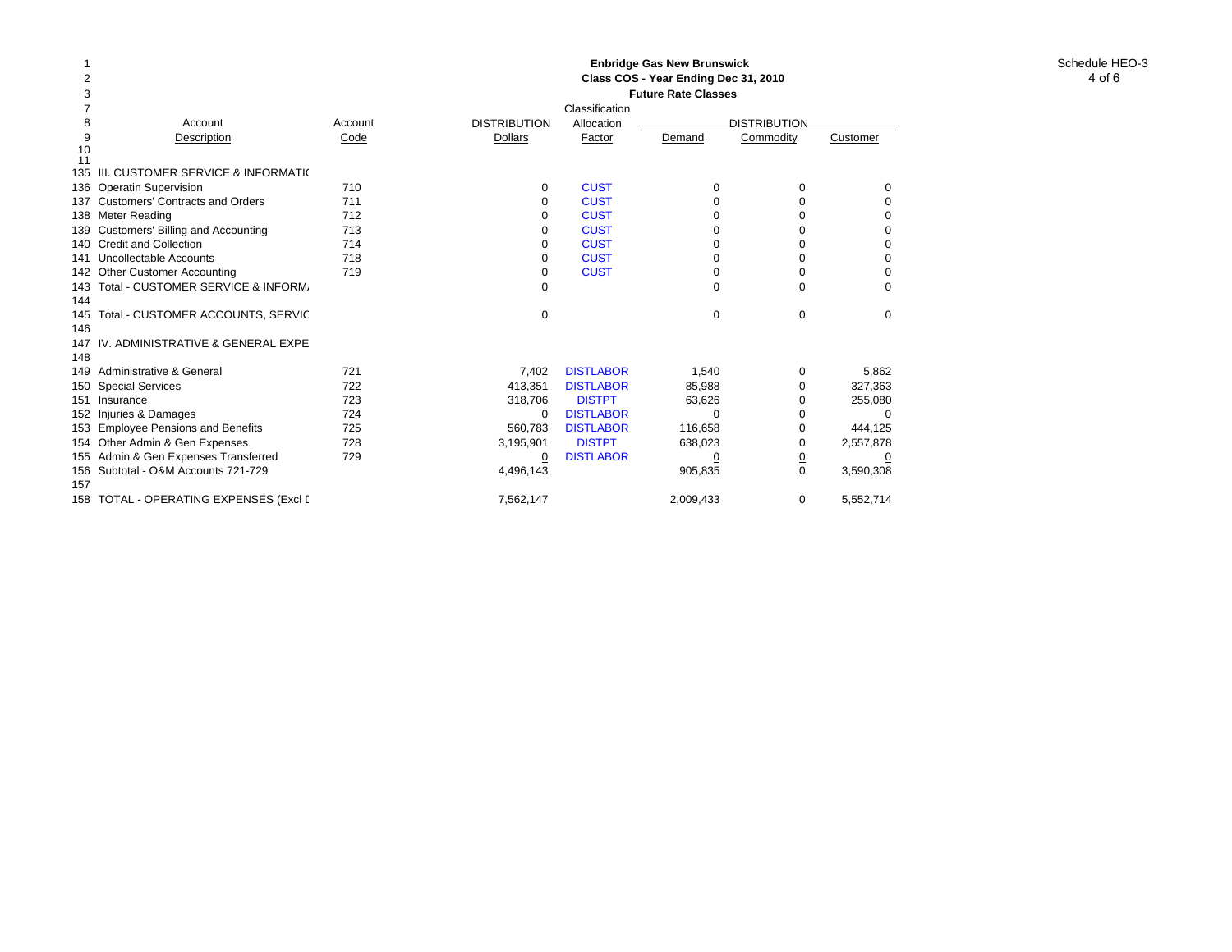#### Schedule HEO-3 **Enbridge Gas New Brunswick Class COS - Year Ending Dec 31, 2010 Future Rate Classes**

| 2   |                                        |                            |                     |                  | Class COS - Year Ending Dec 31, 2010 |                |                |  |  |
|-----|----------------------------------------|----------------------------|---------------------|------------------|--------------------------------------|----------------|----------------|--|--|
|     |                                        | <b>Future Rate Classes</b> |                     |                  |                                      |                |                |  |  |
|     |                                        |                            |                     | Classification   |                                      |                |                |  |  |
| 8   | Account                                | Account                    | <b>DISTRIBUTION</b> | Allocation       | <b>DISTRIBUTION</b>                  |                |                |  |  |
| 9   | Description                            | Code                       | <b>Dollars</b>      | Factor           | Demand                               | Commodity      | Customer       |  |  |
| 10  |                                        |                            |                     |                  |                                      |                |                |  |  |
| 11  | 135 III. CUSTOMER SERVICE & INFORMATI( |                            |                     |                  |                                      |                |                |  |  |
|     |                                        |                            |                     |                  |                                      |                |                |  |  |
|     | 136 Operatin Supervision               | 710                        | $\Omega$            | <b>CUST</b>      | 0                                    | 0              | $\Omega$       |  |  |
|     | 137 Customers' Contracts and Orders    | 711                        | 0                   | <b>CUST</b>      | 0                                    |                | 0              |  |  |
|     | 138 Meter Reading                      | 712                        | 0                   | <b>CUST</b>      | O                                    | 0              | 0              |  |  |
|     | 139 Customers' Billing and Accounting  | 713                        |                     | <b>CUST</b>      | U                                    |                | 0              |  |  |
|     | 140 Credit and Collection              | 714                        | 0                   | <b>CUST</b>      | O                                    | 0              | 0              |  |  |
|     | 141 Uncollectable Accounts             | 718                        | 0                   | <b>CUST</b>      | 0                                    | 0              | 0              |  |  |
|     | 142 Other Customer Accounting          | 719                        | $\Omega$            | <b>CUST</b>      | 0                                    | 0              | 0              |  |  |
|     | 143 Total - CUSTOMER SERVICE & INFORM. |                            | $\Omega$            |                  | O                                    | 0              | $\Omega$       |  |  |
| 144 |                                        |                            |                     |                  |                                      |                |                |  |  |
|     | 145 Total - CUSTOMER ACCOUNTS, SERVIC  |                            | $\Omega$            |                  | 0                                    | $\Omega$       | $\Omega$       |  |  |
| 146 |                                        |                            |                     |                  |                                      |                |                |  |  |
|     | 147 IV. ADMINISTRATIVE & GENERAL EXPE  |                            |                     |                  |                                      |                |                |  |  |
| 148 |                                        |                            |                     |                  |                                      |                |                |  |  |
|     | 149 Administrative & General           | 721                        | 7,402               | <b>DISTLABOR</b> | 1,540                                | 0              | 5,862          |  |  |
|     | 150 Special Services                   | 722                        | 413,351             | <b>DISTLABOR</b> | 85,988                               | 0              | 327,363        |  |  |
|     | 151 Insurance                          | 723                        | 318,706             | <b>DISTPT</b>    | 63,626                               | 0              | 255,080        |  |  |
|     | 152 Injuries & Damages                 | 724                        | $\mathbf 0$         | <b>DISTLABOR</b> | O                                    |                | $\Omega$       |  |  |
|     | 153 Employee Pensions and Benefits     | 725                        | 560.783             | <b>DISTLABOR</b> | 116,658                              | 0              | 444.125        |  |  |
|     | 154 Other Admin & Gen Expenses         | 728                        | 3,195,901           | <b>DISTPT</b>    | 638,023                              | 0              | 2,557,878      |  |  |
|     | 155 Admin & Gen Expenses Transferred   | 729                        | $\overline{0}$      | <b>DISTLABOR</b> | <u>0</u>                             | $\overline{0}$ | $\overline{0}$ |  |  |
|     | 156 Subtotal - O&M Accounts 721-729    |                            | 4,496,143           |                  | 905,835                              | $\Omega$       | 3,590,308      |  |  |
| 157 |                                        |                            |                     |                  |                                      |                |                |  |  |
|     | 158 TOTAL - OPERATING EXPENSES (Excl [ |                            | 7,562,147           |                  | 2,009,433                            | 0              | 5,552,714      |  |  |
|     |                                        |                            |                     |                  |                                      |                |                |  |  |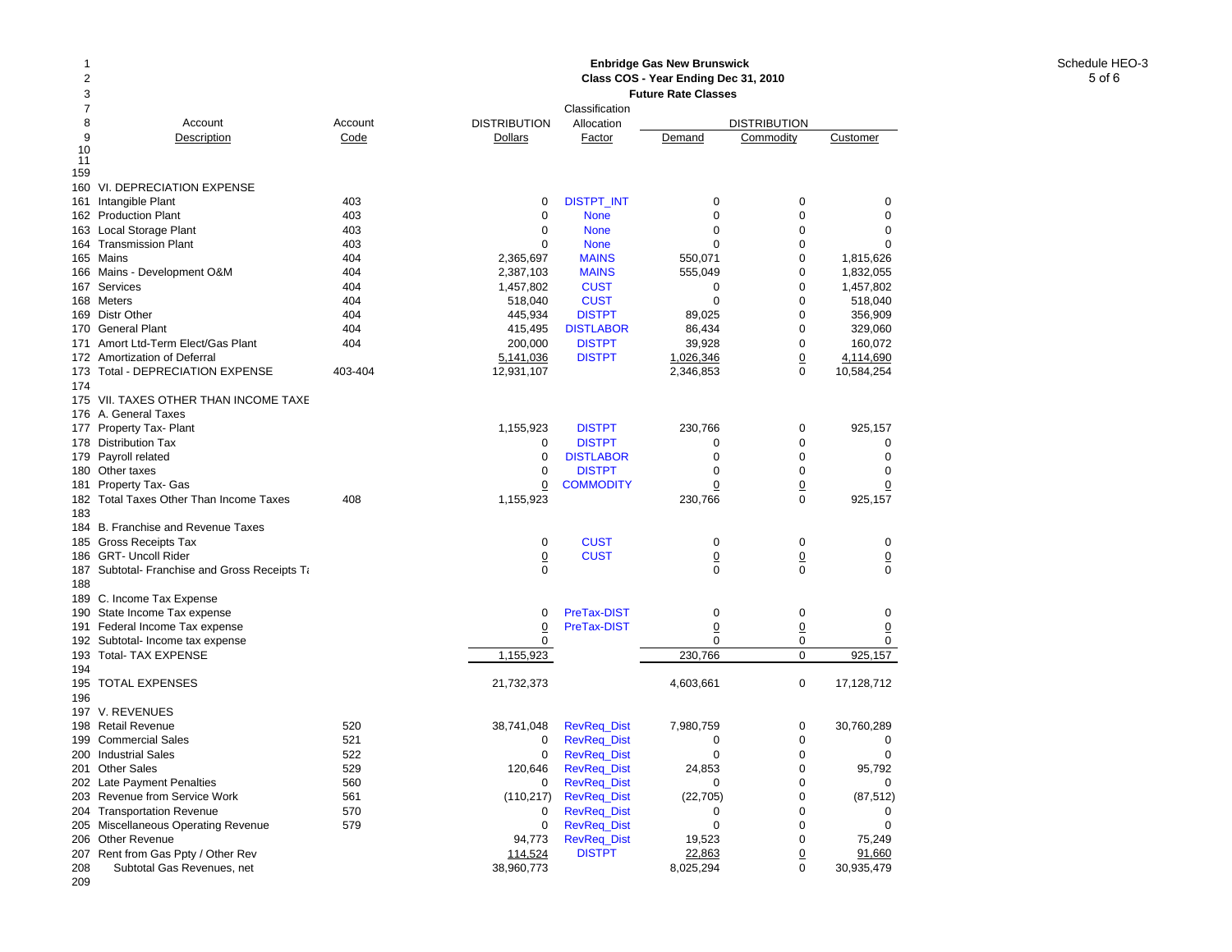# Schedule HEO-3 **Enbridge Gas New Brunswick Class COS - Year Ending Dec 31, 2010**

| 2<br>Class COS - Year Ending Dec 31, 2010<br>3<br><b>Future Rate Classes</b> |                 |                     |                            |                |                                  |                  |  |
|------------------------------------------------------------------------------|-----------------|---------------------|----------------------------|----------------|----------------------------------|------------------|--|
| $\overline{7}$<br>8                                                          |                 | <b>DISTRIBUTION</b> | Classification             |                |                                  |                  |  |
| Account<br>9<br>Description                                                  | Account<br>Code | Dollars             | Allocation<br>Factor       | Demand         | <b>DISTRIBUTION</b><br>Commodity | Customer         |  |
| 10                                                                           |                 |                     |                            |                |                                  |                  |  |
| 11                                                                           |                 |                     |                            |                |                                  |                  |  |
| 159                                                                          |                 |                     |                            |                |                                  |                  |  |
| 160 VI. DEPRECIATION EXPENSE                                                 |                 |                     |                            |                |                                  |                  |  |
| 161 Intangible Plant                                                         | 403<br>403      | $\mathbf 0$<br>0    | <b>DISTPT_INT</b>          | 0<br>0         | 0<br>0                           | 0<br>$\mathbf 0$ |  |
| 162 Production Plant<br>163 Local Storage Plant                              | 403             | 0                   | <b>None</b><br><b>None</b> | 0              | 0                                | 0                |  |
| 164 Transmission Plant                                                       | 403             | $\Omega$            | <b>None</b>                | $\Omega$       | $\Omega$                         | $\Omega$         |  |
| 165 Mains                                                                    | 404             | 2,365,697           | <b>MAINS</b>               | 550,071        | 0                                | 1,815,626        |  |
| 166 Mains - Development O&M                                                  | 404             | 2,387,103           | <b>MAINS</b>               | 555,049        | 0                                | 1,832,055        |  |
| 167 Services                                                                 | 404             | 1,457,802           | <b>CUST</b>                | $\Omega$       | $\Omega$                         | 1,457,802        |  |
| 168 Meters                                                                   | 404             | 518,040             | <b>CUST</b>                | 0              | $\mathbf 0$                      | 518,040          |  |
| 169 Distr Other                                                              | 404             | 445,934             | <b>DISTPT</b>              | 89,025         | $\mathbf 0$                      | 356,909          |  |
| 170 General Plant                                                            | 404             | 415,495             | <b>DISTLABOR</b>           | 86,434         | $\Omega$                         | 329,060          |  |
| 171 Amort Ltd-Term Elect/Gas Plant                                           | 404             | 200,000             | <b>DISTPT</b>              | 39,928         | 0                                | 160,072          |  |
| 172 Amortization of Deferral                                                 |                 | 5,141,036           | <b>DISTPT</b>              | 1,026,346      | $\overline{0}$                   | 4,114,690        |  |
| 173 Total - DEPRECIATION EXPENSE                                             | 403-404         | 12,931,107          |                            | 2,346,853      | $\Omega$                         | 10,584,254       |  |
| 174                                                                          |                 |                     |                            |                |                                  |                  |  |
| 175 VII. TAXES OTHER THAN INCOME TAXE                                        |                 |                     |                            |                |                                  |                  |  |
| 176 A. General Taxes                                                         |                 |                     |                            |                |                                  |                  |  |
| 177 Property Tax- Plant                                                      |                 | 1,155,923           | <b>DISTPT</b>              | 230,766        | $\mathbf 0$                      | 925,157          |  |
| 178 Distribution Tax                                                         |                 | 0                   | <b>DISTPT</b>              | 0              | $\mathbf 0$                      | 0                |  |
| 179 Payroll related                                                          |                 | $\mathbf 0$         | <b>DISTLABOR</b>           | $\mathbf 0$    | $\mathbf 0$                      | $\mathbf 0$      |  |
| 180 Other taxes                                                              |                 | $\Omega$            | <b>DISTPT</b>              | $\Omega$       | $\Omega$                         | $\Omega$         |  |
| 181 Property Tax- Gas                                                        |                 | 0                   | <b>COMMODITY</b>           | 0              | $\overline{0}$                   | 0                |  |
| 182 Total Taxes Other Than Income Taxes                                      | 408             | 1,155,923           |                            | 230,766        | $\mathbf 0$                      | 925,157          |  |
| 183                                                                          |                 |                     |                            |                |                                  |                  |  |
| 184 B. Franchise and Revenue Taxes                                           |                 |                     |                            |                |                                  |                  |  |
| 185 Gross Receipts Tax                                                       |                 | $\mathbf 0$         | <b>CUST</b>                | $\mathbf 0$    | $\Omega$                         | $\mathbf 0$      |  |
| 186 GRT- Uncoll Rider                                                        |                 | $\overline{0}$      | <b>CUST</b>                | $\overline{0}$ | $\overline{0}$                   | $\overline{0}$   |  |
| 187 Subtotal- Franchise and Gross Receipts Ta                                |                 | 0                   |                            | $\Omega$       | $\Omega$                         | $\mathbf 0$      |  |
| 188                                                                          |                 |                     |                            |                |                                  |                  |  |
| 189 C. Income Tax Expense                                                    |                 |                     |                            |                |                                  |                  |  |
| 190 State Income Tax expense                                                 |                 | $\Omega$            | PreTax-DIST                | $\Omega$       | $\mathbf 0$                      | $\Omega$         |  |
| 191 Federal Income Tax expense                                               |                 | 0                   | PreTax-DIST                | 0              | $\overline{0}$                   | $\overline{0}$   |  |
| 192 Subtotal- Income tax expense                                             |                 | 0                   |                            | $\Omega$       | 0                                | 0                |  |
| 193 Total- TAX EXPENSE<br>194                                                |                 | 1,155,923           |                            | 230,766        | 0                                | 925,157          |  |
| 195 TOTAL EXPENSES                                                           |                 | 21,732,373          |                            | 4,603,661      | 0                                | 17,128,712       |  |
| 196                                                                          |                 |                     |                            |                |                                  |                  |  |
| 197 V. REVENUES                                                              |                 |                     |                            |                |                                  |                  |  |
| 198 Retail Revenue                                                           | 520             | 38,741,048          | <b>RevReq_Dist</b>         | 7,980,759      | 0                                | 30,760,289       |  |
| 199 Commercial Sales                                                         | 521             | 0                   | <b>RevReq_Dist</b>         | $\mathbf 0$    | $\mathbf 0$                      | 0                |  |
| 200 Industrial Sales                                                         | 522             | 0                   | <b>RevReq_Dist</b>         | $\mathbf 0$    | $\mathbf 0$                      | $\mathbf 0$      |  |
| 201 Other Sales                                                              | 529             | 120,646             | <b>RevReq_Dist</b>         | 24,853         | 0                                | 95,792           |  |
| 202 Late Payment Penalties                                                   | 560             | 0                   | RevReq_Dist                | 0              | $\Omega$                         | 0                |  |
| 203 Revenue from Service Work                                                | 561             | (110, 217)          | <b>RevReq_Dist</b>         | (22, 705)      | $\mathbf 0$                      | (87, 512)        |  |
| 204 Transportation Revenue                                                   | 570             | 0                   | <b>RevReq_Dist</b>         | 0              | 0                                | 0                |  |
| 205 Miscellaneous Operating Revenue                                          | 579             | 0                   | <b>RevReq_Dist</b>         | $\Omega$       | 0                                | 0                |  |
| 206 Other Revenue                                                            |                 | 94,773              | <b>RevReq_Dist</b>         | 19,523         | 0                                | 75,249           |  |
| 207 Rent from Gas Ppty / Other Rev                                           |                 | 114,524             | <b>DISTPT</b>              | 22,863         | $\overline{0}$                   | 91,660           |  |
| 208<br>Subtotal Gas Revenues, net                                            |                 | 38,960,773          |                            | 8,025,294      | 0                                | 30,935,479       |  |
| 209                                                                          |                 |                     |                            |                |                                  |                  |  |